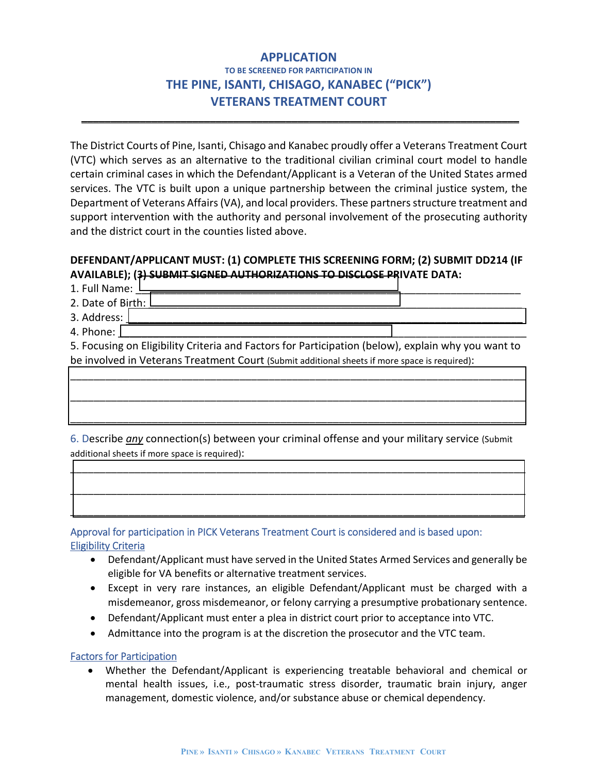# **APPLICATION TO BE SCREENED FOR PARTICIPATION IN THE PINE, ISANTI, CHISAGO, KANABEC ("PICK") VETERANS TREATMENT COURT**

\_\_\_\_\_\_\_\_\_\_\_\_\_\_\_\_\_\_\_\_\_\_\_\_\_\_\_\_\_\_\_\_\_\_\_\_\_\_\_\_\_\_\_\_\_\_\_\_\_\_\_\_\_\_\_\_\_\_\_\_\_\_\_\_\_\_\_\_\_\_\_\_\_\_\_

The District Courts of Pine, Isanti, Chisago and Kanabec proudly offer a Veterans Treatment Court (VTC) which serves as an alternative to the traditional civilian criminal court model to handle certain criminal cases in which the Defendant/Applicant is a Veteran of the United States armed services. The VTC is built upon a unique partnership between the criminal justice system, the Department of Veterans Affairs (VA), and local providers. These partners structure treatment and support intervention with the authority and personal involvement of the prosecuting authority and the district court in the counties listed above.

## **DEFENDANT/APPLICANT MUST: (1) COMPLETE THIS SCREENING FORM; (2) SUBMIT DD214 (IF AVAILABLE); (3) SUBMIT SIGNED AUTHORIZATIONS TO DISCLOSE PRIVATE DATA:**

1. Full Name: L 2. Date of Birth:

3. Address:  $\overline{\phantom{a}}$ 

4. Phone:  $\vert$ 

5. Focusing on Eligibility Criteria and Factors for Participation (below), explain why you want to be involved in Veterans Treatment Court (Submit additional sheets if more space is required):

\_\_\_\_\_\_\_\_\_\_\_\_\_\_\_\_\_\_\_\_\_\_\_\_\_\_\_\_\_\_\_\_\_\_\_\_\_\_\_\_\_\_\_\_\_\_\_\_\_\_\_\_\_\_\_\_\_\_\_\_\_\_\_\_\_\_\_\_\_\_\_\_\_\_\_\_\_\_

\_\_\_\_\_\_\_\_\_\_\_\_\_\_\_\_\_\_\_\_\_\_\_\_\_\_\_\_\_\_\_\_\_\_\_\_\_\_\_\_\_\_\_\_\_\_\_\_\_\_\_\_\_\_\_\_\_\_\_\_\_\_\_\_\_\_\_\_\_\_\_\_\_\_\_\_\_\_

\_\_\_\_\_\_\_\_\_\_\_\_\_\_\_\_\_\_\_\_\_\_\_\_\_\_\_\_\_\_\_\_\_\_\_\_\_\_\_\_\_\_\_\_\_\_\_\_\_\_\_\_\_\_\_\_\_\_\_\_\_\_\_\_\_\_\_\_\_\_\_\_\_\_\_\_\_\_

\_\_\_\_\_\_\_\_\_\_\_\_\_\_\_\_\_\_\_\_\_\_\_\_\_\_\_\_\_\_\_\_\_\_\_\_\_\_\_\_\_\_\_\_\_\_\_\_\_\_\_\_\_\_\_\_\_\_\_\_\_\_\_\_\_\_\_\_\_\_\_\_\_\_\_\_\_\_

\_\_\_\_\_\_\_\_\_\_\_\_\_\_\_\_\_\_\_\_\_\_\_\_\_\_\_\_\_\_\_\_\_\_\_\_\_\_\_\_\_\_\_\_\_\_\_\_\_\_\_\_\_\_\_\_\_\_\_\_\_\_\_\_\_\_\_\_\_\_\_\_\_\_\_\_\_\_

\_\_\_\_\_\_\_\_\_\_\_\_\_\_\_\_\_\_\_\_\_\_\_\_\_\_\_\_\_\_\_\_\_\_\_\_\_\_\_\_\_\_\_\_\_\_\_\_\_\_\_\_\_\_\_\_\_\_\_\_\_\_\_\_\_\_\_\_\_\_\_\_\_\_\_\_\_\_

6. Describe *any* connection(s) between your criminal offense and your military service (Submit additional sheets if more space is required):

Approval for participation in PICK Veterans Treatment Court is considered and is based upon: Eligibility Criteria

- Defendant/Applicant must have served in the United States Armed Services and generally be eligible for VA benefits or alternative treatment services.
- Except in very rare instances, an eligible Defendant/Applicant must be charged with a misdemeanor, gross misdemeanor, or felony carrying a presumptive probationary sentence.
- Defendant/Applicant must enter a plea in district court prior to acceptance into VTC.
- Admittance into the program is at the discretion the prosecutor and the VTC team.

Factors for Participation

• Whether the Defendant/Applicant is experiencing treatable behavioral and chemical or mental health issues, i.e., post-traumatic stress disorder, traumatic brain injury, anger management, domestic violence, and/or substance abuse or chemical dependency.